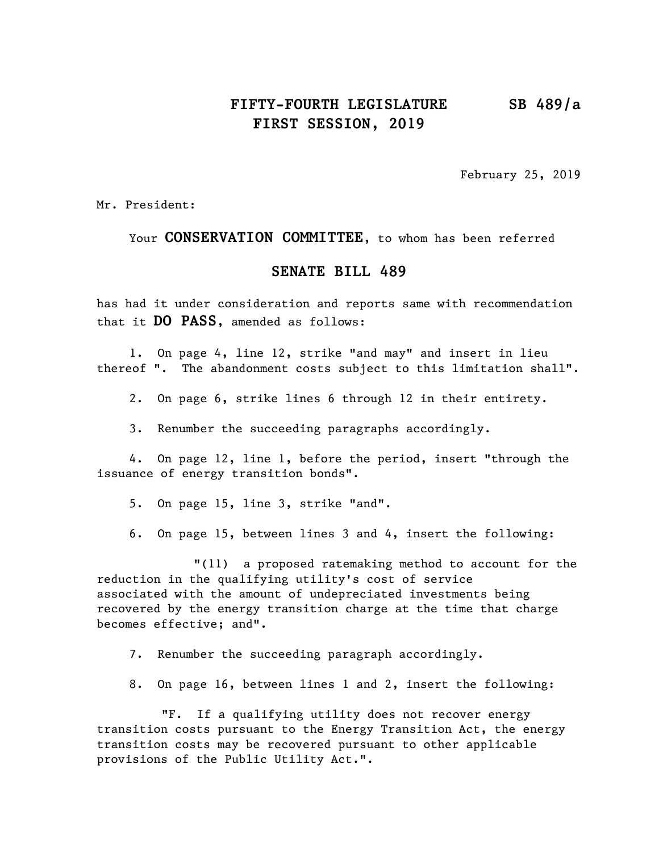## **FIFTY-FOURTH LEGISLATURE SB 489/a FIRST SESSION, 2019**

February 25, 2019

Mr. President:

Your **CONSERVATION COMMITTEE**, to whom has been referred

#### **SENATE BILL 489**

has had it under consideration and reports same with recommendation that it **DO PASS**, amended as follows:

1. On page 4, line 12, strike "and may" and insert in lieu thereof ". The abandonment costs subject to this limitation shall".

2. On page 6, strike lines 6 through 12 in their entirety.

3. Renumber the succeeding paragraphs accordingly.

4. On page 12, line 1, before the period, insert "through the issuance of energy transition bonds".

5. On page 15, line 3, strike "and".

6. On page 15, between lines 3 and 4, insert the following:

"(11) a proposed ratemaking method to account for the reduction in the qualifying utility's cost of service associated with the amount of undepreciated investments being recovered by the energy transition charge at the time that charge becomes effective; and".

7. Renumber the succeeding paragraph accordingly.

8. On page 16, between lines 1 and 2, insert the following:

"F. If a qualifying utility does not recover energy transition costs pursuant to the Energy Transition Act, the energy transition costs may be recovered pursuant to other applicable provisions of the Public Utility Act.".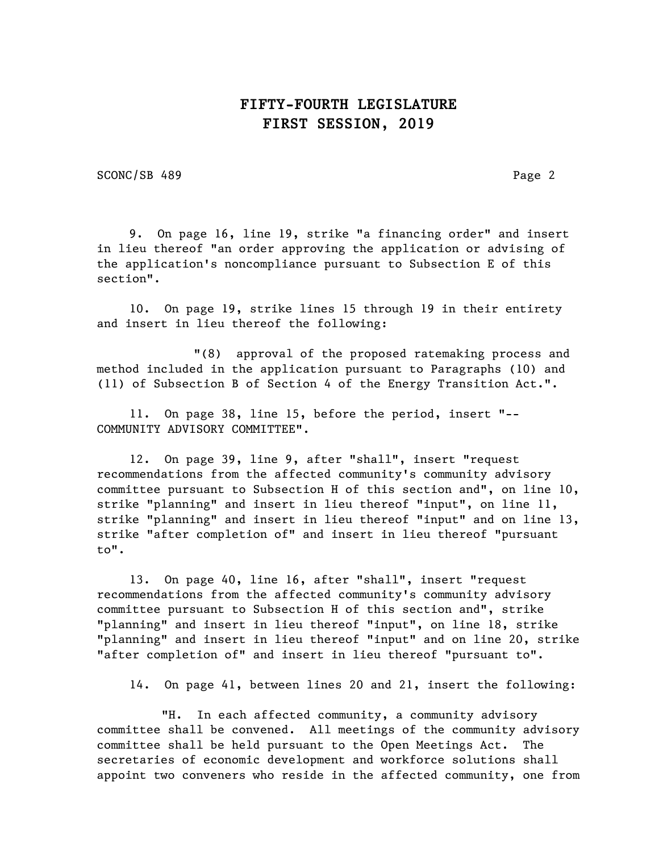### **FIFTY-FOURTH LEGISLATURE FIRST SESSION, 2019**

SCONC/SB 489 Page 2

9. On page 16, line 19, strike "a financing order" and insert in lieu thereof "an order approving the application or advising of the application's noncompliance pursuant to Subsection E of this section".

10. On page 19, strike lines 15 through 19 in their entirety and insert in lieu thereof the following:

"(8) approval of the proposed ratemaking process and method included in the application pursuant to Paragraphs (10) and (11) of Subsection B of Section 4 of the Energy Transition Act.".

11. On page 38, line 15, before the period, insert "-- COMMUNITY ADVISORY COMMITTEE".

12. On page 39, line 9, after "shall", insert "request recommendations from the affected community's community advisory committee pursuant to Subsection H of this section and", on line 10, strike "planning" and insert in lieu thereof "input", on line 11, strike "planning" and insert in lieu thereof "input" and on line 13, strike "after completion of" and insert in lieu thereof "pursuant to".

13. On page 40, line 16, after "shall", insert "request recommendations from the affected community's community advisory committee pursuant to Subsection H of this section and", strike "planning" and insert in lieu thereof "input", on line 18, strike "planning" and insert in lieu thereof "input" and on line 20, strike "after completion of" and insert in lieu thereof "pursuant to".

14. On page 41, between lines 20 and 21, insert the following:

"H. In each affected community, a community advisory committee shall be convened. All meetings of the community advisory committee shall be held pursuant to the Open Meetings Act. The secretaries of economic development and workforce solutions shall appoint two conveners who reside in the affected community, one from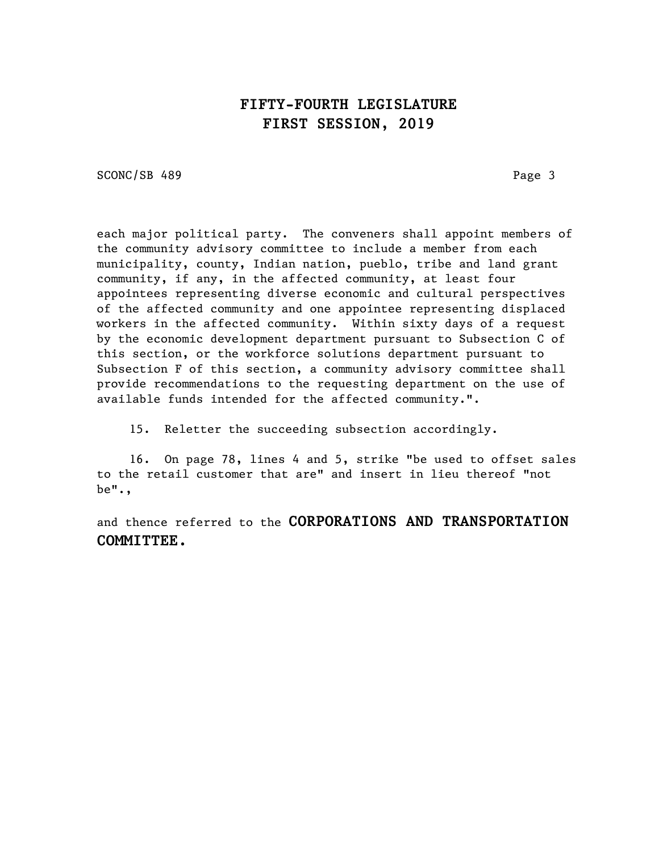## **FIFTY-FOURTH LEGISLATURE FIRST SESSION, 2019**

SCONC/SB 489 Page 3

each major political party. The conveners shall appoint members of the community advisory committee to include a member from each municipality, county, Indian nation, pueblo, tribe and land grant community, if any, in the affected community, at least four appointees representing diverse economic and cultural perspectives of the affected community and one appointee representing displaced workers in the affected community. Within sixty days of a request by the economic development department pursuant to Subsection C of this section, or the workforce solutions department pursuant to Subsection F of this section, a community advisory committee shall provide recommendations to the requesting department on the use of available funds intended for the affected community.".

15. Reletter the succeeding subsection accordingly.

16. On page 78, lines 4 and 5, strike "be used to offset sales to the retail customer that are" and insert in lieu thereof "not be".,

and thence referred to the **CORPORATIONS AND TRANSPORTATION COMMITTEE.**